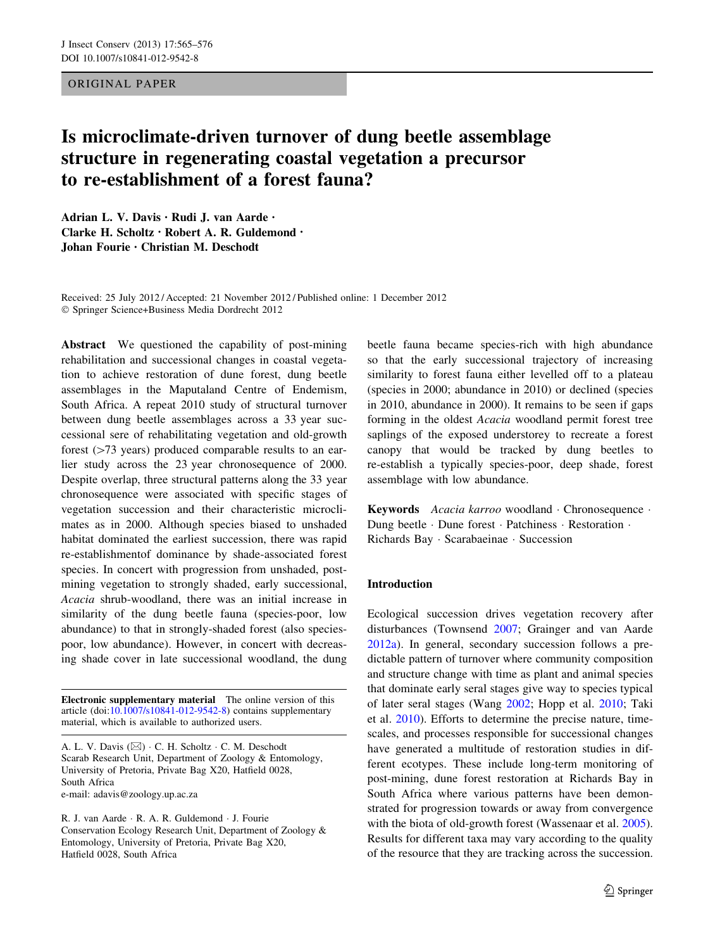## ORIGINAL PAPER

# Is microclimate-driven turnover of dung beetle assemblage structure in regenerating coastal vegetation a precursor to re-establishment of a forest fauna?

Adrian L. V. Davis • Rudi J. van Aarde • Clarke H. Scholtz • Robert A. R. Guldemond • Johan Fourie • Christian M. Deschodt

Received: 25 July 2012 / Accepted: 21 November 2012 / Published online: 1 December 2012 - Springer Science+Business Media Dordrecht 2012

Abstract We questioned the capability of post-mining rehabilitation and successional changes in coastal vegetation to achieve restoration of dune forest, dung beetle assemblages in the Maputaland Centre of Endemism, South Africa. A repeat 2010 study of structural turnover between dung beetle assemblages across a 33 year successional sere of rehabilitating vegetation and old-growth forest  $($ >73 years) produced comparable results to an earlier study across the 23 year chronosequence of 2000. Despite overlap, three structural patterns along the 33 year chronosequence were associated with specific stages of vegetation succession and their characteristic microclimates as in 2000. Although species biased to unshaded habitat dominated the earliest succession, there was rapid re-establishmentof dominance by shade-associated forest species. In concert with progression from unshaded, postmining vegetation to strongly shaded, early successional, Acacia shrub-woodland, there was an initial increase in similarity of the dung beetle fauna (species-poor, low abundance) to that in strongly-shaded forest (also speciespoor, low abundance). However, in concert with decreasing shade cover in late successional woodland, the dung

Electronic supplementary material The online version of this article (doi:[10.1007/s10841-012-9542-8\)](http://dx.doi.org/10.1007/s10841-012-9542-8) contains supplementary material, which is available to authorized users.

e-mail: adavis@zoology.up.ac.za

R. J. van Aarde - R. A. R. Guldemond - J. Fourie Conservation Ecology Research Unit, Department of Zoology & Entomology, University of Pretoria, Private Bag X20, Hatfield 0028, South Africa

beetle fauna became species-rich with high abundance so that the early successional trajectory of increasing similarity to forest fauna either levelled off to a plateau (species in 2000; abundance in 2010) or declined (species in 2010, abundance in 2000). It remains to be seen if gaps forming in the oldest Acacia woodland permit forest tree saplings of the exposed understorey to recreate a forest canopy that would be tracked by dung beetles to re-establish a typically species-poor, deep shade, forest assemblage with low abundance.

Keywords Acacia karroo woodland · Chronosequence · Dung beetle · Dune forest · Patchiness · Restoration · Richards Bay - Scarabaeinae - Succession

# Introduction

Ecological succession drives vegetation recovery after disturbances (Townsend [2007;](#page-11-0) Grainger and van Aarde [2012a\)](#page-10-0). In general, secondary succession follows a predictable pattern of turnover where community composition and structure change with time as plant and animal species that dominate early seral stages give way to species typical of later seral stages (Wang [2002;](#page-11-0) Hopp et al. [2010](#page-10-0); Taki et al. [2010\)](#page-11-0). Efforts to determine the precise nature, timescales, and processes responsible for successional changes have generated a multitude of restoration studies in different ecotypes. These include long-term monitoring of post-mining, dune forest restoration at Richards Bay in South Africa where various patterns have been demonstrated for progression towards or away from convergence with the biota of old-growth forest (Wassenaar et al. [2005](#page-11-0)). Results for different taxa may vary according to the quality of the resource that they are tracking across the succession.

A. L. V. Davis  $(\boxtimes) \cdot C$ . H. Scholtz  $\cdot C$ . M. Deschodt Scarab Research Unit, Department of Zoology & Entomology, University of Pretoria, Private Bag X20, Hatfield 0028, South Africa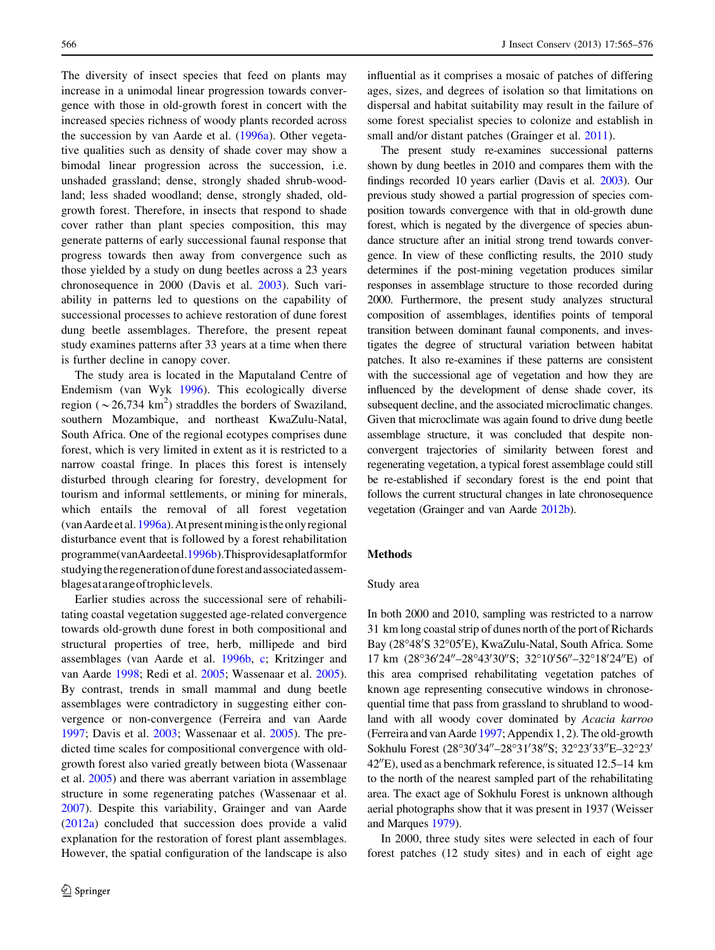The diversity of insect species that feed on plants may increase in a unimodal linear progression towards convergence with those in old-growth forest in concert with the increased species richness of woody plants recorded across the succession by van Aarde et al. ([1996a](#page-11-0)). Other vegetative qualities such as density of shade cover may show a bimodal linear progression across the succession, i.e. unshaded grassland; dense, strongly shaded shrub-woodland; less shaded woodland; dense, strongly shaded, oldgrowth forest. Therefore, in insects that respond to shade cover rather than plant species composition, this may generate patterns of early successional faunal response that progress towards then away from convergence such as those yielded by a study on dung beetles across a 23 years chronosequence in 2000 (Davis et al. [2003](#page-10-0)). Such variability in patterns led to questions on the capability of successional processes to achieve restoration of dune forest dung beetle assemblages. Therefore, the present repeat study examines patterns after 33 years at a time when there is further decline in canopy cover.

The study area is located in the Maputaland Centre of Endemism (van Wyk [1996](#page-11-0)). This ecologically diverse region ( $\sim$  26,734 km<sup>2</sup>) straddles the borders of Swaziland, southern Mozambique, and northeast KwaZulu-Natal, South Africa. One of the regional ecotypes comprises dune forest, which is very limited in extent as it is restricted to a narrow coastal fringe. In places this forest is intensely disturbed through clearing for forestry, development for tourism and informal settlements, or mining for minerals, which entails the removal of all forest vegetation (vanAardeetal.[1996a](#page-11-0)).Atpresentminingistheonlyregional disturbance event that is followed by a forest rehabilitation programme(vanAardeetal[.1996b\)](#page-11-0).Thisprovidesaplatformfor studying the regeneration of dune forest and associated assemblagesatarangeoftrophiclevels.

Earlier studies across the successional sere of rehabilitating coastal vegetation suggested age-related convergence towards old-growth dune forest in both compositional and structural properties of tree, herb, millipede and bird assemblages (van Aarde et al. [1996b](#page-11-0), [c](#page-11-0); Kritzinger and van Aarde [1998](#page-10-0); Redi et al. [2005;](#page-10-0) Wassenaar et al. [2005](#page-11-0)). By contrast, trends in small mammal and dung beetle assemblages were contradictory in suggesting either convergence or non-convergence (Ferreira and van Aarde [1997;](#page-10-0) Davis et al. [2003;](#page-10-0) Wassenaar et al. [2005\)](#page-11-0). The predicted time scales for compositional convergence with oldgrowth forest also varied greatly between biota (Wassenaar et al. [2005\)](#page-11-0) and there was aberrant variation in assemblage structure in some regenerating patches (Wassenaar et al. [2007\)](#page-11-0). Despite this variability, Grainger and van Aarde [\(2012a\)](#page-10-0) concluded that succession does provide a valid explanation for the restoration of forest plant assemblages. However, the spatial configuration of the landscape is also influential as it comprises a mosaic of patches of differing ages, sizes, and degrees of isolation so that limitations on dispersal and habitat suitability may result in the failure of some forest specialist species to colonize and establish in small and/or distant patches (Grainger et al. [2011](#page-10-0)).

The present study re-examines successional patterns shown by dung beetles in 2010 and compares them with the findings recorded 10 years earlier (Davis et al. [2003](#page-10-0)). Our previous study showed a partial progression of species composition towards convergence with that in old-growth dune forest, which is negated by the divergence of species abundance structure after an initial strong trend towards convergence. In view of these conflicting results, the 2010 study determines if the post-mining vegetation produces similar responses in assemblage structure to those recorded during 2000. Furthermore, the present study analyzes structural composition of assemblages, identifies points of temporal transition between dominant faunal components, and investigates the degree of structural variation between habitat patches. It also re-examines if these patterns are consistent with the successional age of vegetation and how they are influenced by the development of dense shade cover, its subsequent decline, and the associated microclimatic changes. Given that microclimate was again found to drive dung beetle assemblage structure, it was concluded that despite nonconvergent trajectories of similarity between forest and regenerating vegetation, a typical forest assemblage could still be re-established if secondary forest is the end point that follows the current structural changes in late chronosequence vegetation (Grainger and van Aarde [2012b\)](#page-10-0).

#### Methods

### Study area

In both 2000 and 2010, sampling was restricted to a narrow 31 km long coastal strip of dunes north of the port of Richards Bay (28°48'S 32°05'E), KwaZulu-Natal, South Africa. Some 17 km (28°36'24"-28°43'30"S; 32°10'56"-32°18'24"E) of this area comprised rehabilitating vegetation patches of known age representing consecutive windows in chronosequential time that pass from grassland to shrubland to woodland with all woody cover dominated by Acacia karroo (Ferreira and van Aarde [1997](#page-10-0); Appendix 1, 2). The old-growth Sokhulu Forest (28°30'34"-28°31'38"S; 32°23'33"E-32°23'  $42^{\prime\prime}$ E), used as a benchmark reference, is situated 12.5–14 km to the north of the nearest sampled part of the rehabilitating area. The exact age of Sokhulu Forest is unknown although aerial photographs show that it was present in 1937 (Weisser and Marques [1979](#page-11-0)).

In 2000, three study sites were selected in each of four forest patches (12 study sites) and in each of eight age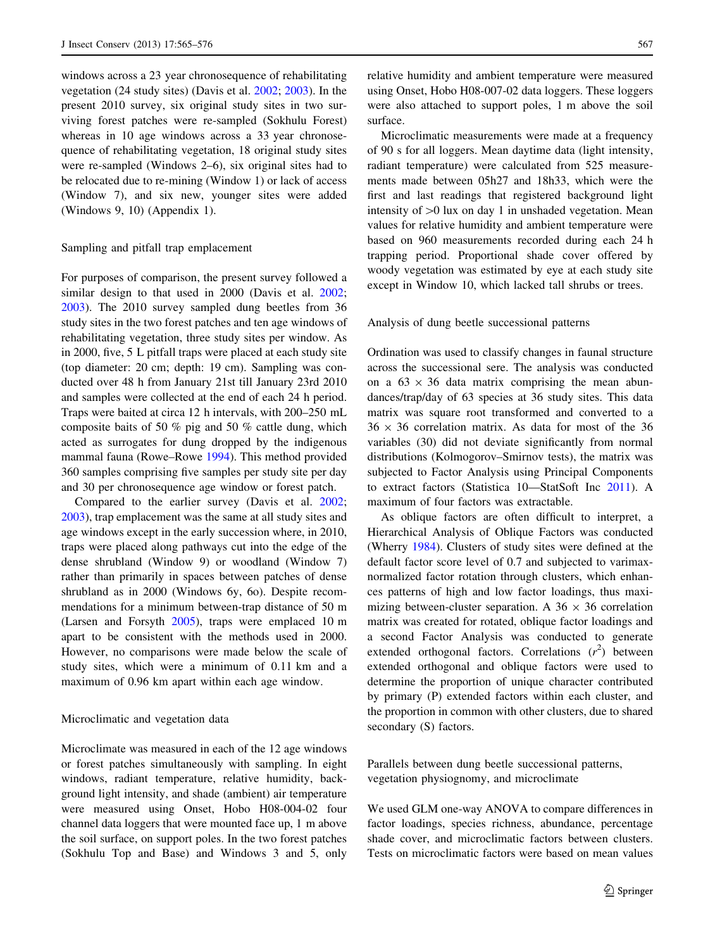windows across a 23 year chronosequence of rehabilitating vegetation (24 study sites) (Davis et al. [2002;](#page-10-0) [2003](#page-10-0)). In the present 2010 survey, six original study sites in two surviving forest patches were re-sampled (Sokhulu Forest) whereas in 10 age windows across a 33 year chronosequence of rehabilitating vegetation, 18 original study sites were re-sampled (Windows 2–6), six original sites had to be relocated due to re-mining (Window 1) or lack of access (Window 7), and six new, younger sites were added (Windows 9, 10) (Appendix 1).

## Sampling and pitfall trap emplacement

For purposes of comparison, the present survey followed a similar design to that used in 2000 (Davis et al. [2002](#page-10-0); [2003\)](#page-10-0). The 2010 survey sampled dung beetles from 36 study sites in the two forest patches and ten age windows of rehabilitating vegetation, three study sites per window. As in 2000, five, 5 L pitfall traps were placed at each study site (top diameter: 20 cm; depth: 19 cm). Sampling was conducted over 48 h from January 21st till January 23rd 2010 and samples were collected at the end of each 24 h period. Traps were baited at circa 12 h intervals, with 200–250 mL composite baits of 50 % pig and 50 % cattle dung, which acted as surrogates for dung dropped by the indigenous mammal fauna (Rowe–Rowe [1994\)](#page-10-0). This method provided 360 samples comprising five samples per study site per day and 30 per chronosequence age window or forest patch.

Compared to the earlier survey (Davis et al. [2002](#page-10-0); [2003\)](#page-10-0), trap emplacement was the same at all study sites and age windows except in the early succession where, in 2010, traps were placed along pathways cut into the edge of the dense shrubland (Window 9) or woodland (Window 7) rather than primarily in spaces between patches of dense shrubland as in 2000 (Windows 6y, 6o). Despite recommendations for a minimum between-trap distance of 50 m (Larsen and Forsyth [2005\)](#page-10-0), traps were emplaced 10 m apart to be consistent with the methods used in 2000. However, no comparisons were made below the scale of study sites, which were a minimum of 0.11 km and a maximum of 0.96 km apart within each age window.

## Microclimatic and vegetation data

Microclimate was measured in each of the 12 age windows or forest patches simultaneously with sampling. In eight windows, radiant temperature, relative humidity, background light intensity, and shade (ambient) air temperature were measured using Onset, Hobo H08-004-02 four channel data loggers that were mounted face up, 1 m above the soil surface, on support poles. In the two forest patches (Sokhulu Top and Base) and Windows 3 and 5, only relative humidity and ambient temperature were measured using Onset, Hobo H08-007-02 data loggers. These loggers were also attached to support poles, 1 m above the soil surface.

Microclimatic measurements were made at a frequency of 90 s for all loggers. Mean daytime data (light intensity, radiant temperature) were calculated from 525 measurements made between 05h27 and 18h33, which were the first and last readings that registered background light intensity of  $>0$  lux on day 1 in unshaded vegetation. Mean values for relative humidity and ambient temperature were based on 960 measurements recorded during each 24 h trapping period. Proportional shade cover offered by woody vegetation was estimated by eye at each study site except in Window 10, which lacked tall shrubs or trees.

#### Analysis of dung beetle successional patterns

Ordination was used to classify changes in faunal structure across the successional sere. The analysis was conducted on a  $63 \times 36$  data matrix comprising the mean abundances/trap/day of 63 species at 36 study sites. This data matrix was square root transformed and converted to a  $36 \times 36$  correlation matrix. As data for most of the 36 variables (30) did not deviate significantly from normal distributions (Kolmogorov–Smirnov tests), the matrix was subjected to Factor Analysis using Principal Components to extract factors (Statistica 10—StatSoft Inc [2011\)](#page-10-0). A maximum of four factors was extractable.

As oblique factors are often difficult to interpret, a Hierarchical Analysis of Oblique Factors was conducted (Wherry [1984](#page-11-0)). Clusters of study sites were defined at the default factor score level of 0.7 and subjected to varimaxnormalized factor rotation through clusters, which enhances patterns of high and low factor loadings, thus maximizing between-cluster separation. A  $36 \times 36$  correlation matrix was created for rotated, oblique factor loadings and a second Factor Analysis was conducted to generate extended orthogonal factors. Correlations  $(r^2)$  between extended orthogonal and oblique factors were used to determine the proportion of unique character contributed by primary (P) extended factors within each cluster, and the proportion in common with other clusters, due to shared secondary (S) factors.

Parallels between dung beetle successional patterns, vegetation physiognomy, and microclimate

We used GLM one-way ANOVA to compare differences in factor loadings, species richness, abundance, percentage shade cover, and microclimatic factors between clusters. Tests on microclimatic factors were based on mean values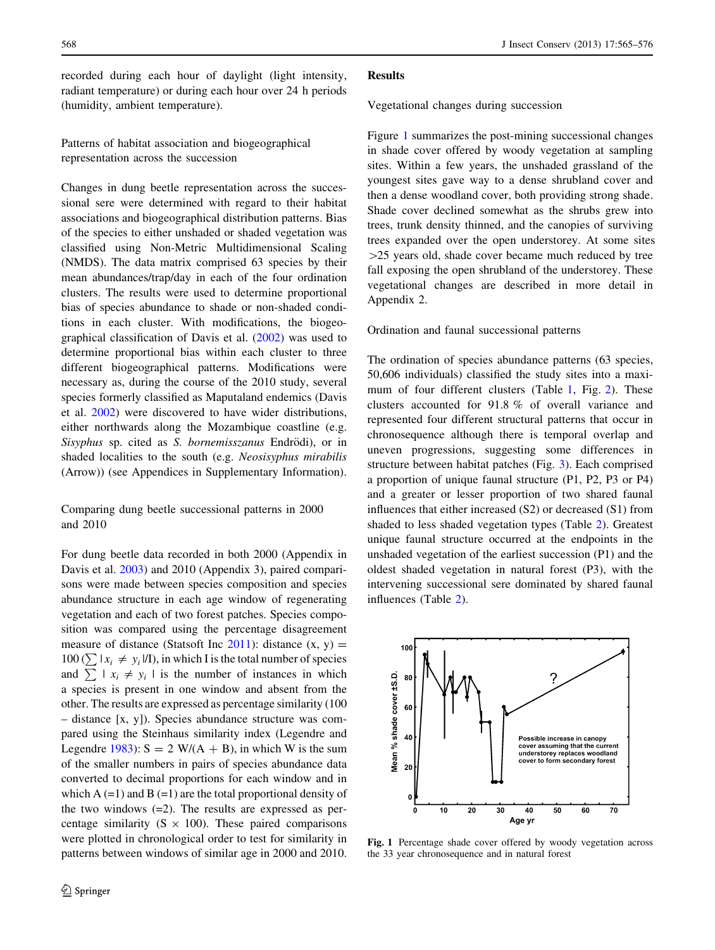recorded during each hour of daylight (light intensity, radiant temperature) or during each hour over 24 h periods (humidity, ambient temperature).

Patterns of habitat association and biogeographical representation across the succession

Changes in dung beetle representation across the successional sere were determined with regard to their habitat associations and biogeographical distribution patterns. Bias of the species to either unshaded or shaded vegetation was classified using Non-Metric Multidimensional Scaling (NMDS). The data matrix comprised 63 species by their mean abundances/trap/day in each of the four ordination clusters. The results were used to determine proportional bias of species abundance to shade or non-shaded conditions in each cluster. With modifications, the biogeographical classification of Davis et al. ([2002\)](#page-10-0) was used to determine proportional bias within each cluster to three different biogeographical patterns. Modifications were necessary as, during the course of the 2010 study, several species formerly classified as Maputaland endemics (Davis et al. [2002](#page-10-0)) were discovered to have wider distributions, either northwards along the Mozambique coastline (e.g. Sisyphus sp. cited as S. bornemisszanus Endrödi), or in shaded localities to the south (e.g. Neosisyphus mirabilis (Arrow)) (see Appendices in Supplementary Information).

Comparing dung beetle successional patterns in 2000 and 2010

For dung beetle data recorded in both 2000 (Appendix in Davis et al. [2003\)](#page-10-0) and 2010 (Appendix 3), paired comparisons were made between species composition and species abundance structure in each age window of regenerating vegetation and each of two forest patches. Species composition was compared using the percentage disagreement measure of distance (Statsoft Inc  $2011$ ): distance  $(x, y) =$  $100 (\sum | x_i \neq y_i | I)$ , in which I is the total number of species and  $\sum x_i \neq y_i$  is the number of instances in which a species is present in one window and absent from the other. The results are expressed as percentage similarity (100 – distance [x, y]). Species abundance structure was compared using the Steinhaus similarity index (Legendre and Legendre [1983](#page-10-0)):  $S = 2 W/(A + B)$ , in which W is the sum of the smaller numbers in pairs of species abundance data converted to decimal proportions for each window and in which  $A (=1)$  and  $B (=1)$  are the total proportional density of the two windows  $(=2)$ . The results are expressed as percentage similarity ( $S \times 100$ ). These paired comparisons were plotted in chronological order to test for similarity in patterns between windows of similar age in 2000 and 2010.

#### Results

Vegetational changes during succession

Figure 1 summarizes the post-mining successional changes in shade cover offered by woody vegetation at sampling sites. Within a few years, the unshaded grassland of the youngest sites gave way to a dense shrubland cover and then a dense woodland cover, both providing strong shade. Shade cover declined somewhat as the shrubs grew into trees, trunk density thinned, and the canopies of surviving trees expanded over the open understorey. At some sites  $>$ 25 years old, shade cover became much reduced by tree fall exposing the open shrubland of the understorey. These vegetational changes are described in more detail in Appendix 2.

## Ordination and faunal successional patterns

The ordination of species abundance patterns (63 species, 50,606 individuals) classified the study sites into a maxi-mum of four different clusters (Table [1](#page-4-0), Fig. [2](#page-6-0)). These clusters accounted for 91.8 % of overall variance and represented four different structural patterns that occur in chronosequence although there is temporal overlap and uneven progressions, suggesting some differences in structure between habitat patches (Fig. [3\)](#page-5-0). Each comprised a proportion of unique faunal structure (P1, P2, P3 or P4) and a greater or lesser proportion of two shared faunal influences that either increased (S2) or decreased (S1) from shaded to less shaded vegetation types (Table [2\)](#page-6-0). Greatest unique faunal structure occurred at the endpoints in the unshaded vegetation of the earliest succession (P1) and the oldest shaded vegetation in natural forest (P3), with the intervening successional sere dominated by shared faunal influences (Table [2](#page-6-0)).



Fig. 1 Percentage shade cover offered by woody vegetation across the 33 year chronosequence and in natural forest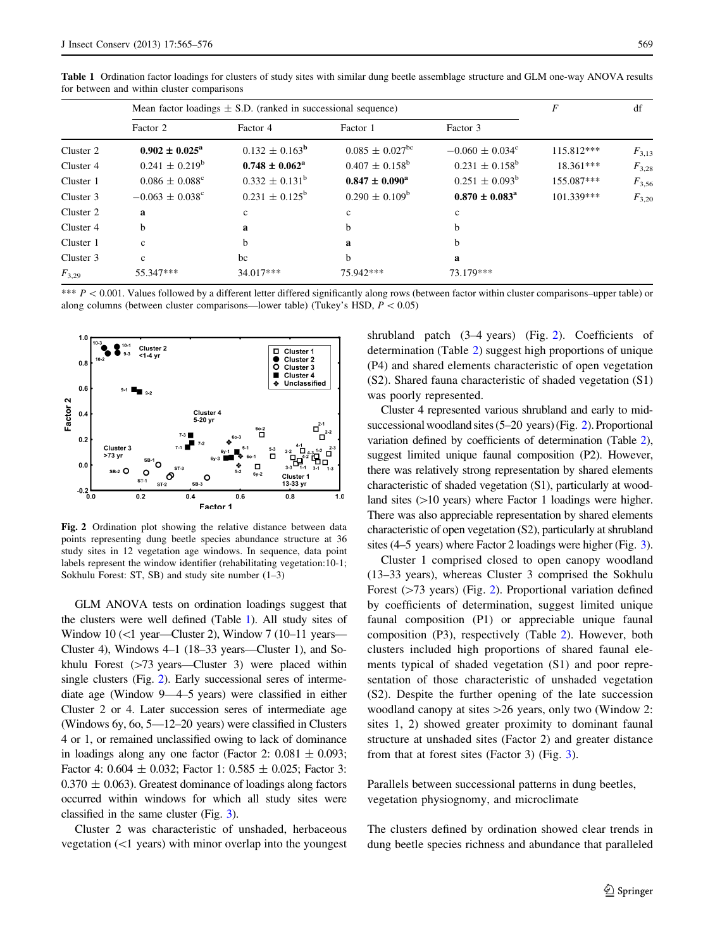|            | Mean factor loadings $\pm$ S.D. (ranked in successional sequence) | F                         | df                              |                                 |             |            |
|------------|-------------------------------------------------------------------|---------------------------|---------------------------------|---------------------------------|-------------|------------|
|            | Factor 2                                                          | Factor 4                  | Factor 1                        | Factor 3                        |             |            |
| Cluster 2  | $0.902 \pm 0.025^{\rm a}$                                         | $0.132 \pm 0.163^{\rm b}$ | $0.085 \pm 0.027$ <sup>bc</sup> | $-0.060 \pm 0.034$ <sup>c</sup> | 115.812***  | $F_{3,13}$ |
| Cluster 4  | $0.241 \pm 0.219^b$                                               | $0.748 \pm 0.062^{\rm a}$ | $0.407 \pm 0.158^{\rm b}$       | $0.231 \pm 0.158^{\circ}$       | $18.361***$ | $F_{3,28}$ |
| Cluster 1  | $0.086 \pm 0.088$ <sup>c</sup>                                    | $0.332 \pm 0.131^b$       | $0.847 \pm 0.090^{\rm a}$       | $0.251 \pm 0.093^b$             | 155.087***  | $F_{3,56}$ |
| Cluster 3  | $-0.063 \pm 0.038$ <sup>c</sup>                                   | $0.231 \pm 0.125^{\rm b}$ | $0.290 \pm 0.109^b$             | $0.870 \pm 0.083^{\rm a}$       | 101.339***  | $F_{3,20}$ |
| Cluster 2  | a                                                                 | $\mathbf{c}$              | $\mathbf{c}$                    | c                               |             |            |
| Cluster 4  | h                                                                 | a                         | b                               | b                               |             |            |
| Cluster 1  | $\mathbf{c}$                                                      | b                         | a                               | <sub>b</sub>                    |             |            |
| Cluster 3  | $\mathbf{c}$                                                      | bc                        | b                               | a                               |             |            |
| $F_{3,29}$ | 55.347***                                                         | 34.017***                 | 75.942***                       | 73.179***                       |             |            |

<span id="page-4-0"></span>Table 1 Ordination factor loadings for clusters of study sites with similar dung beetle assemblage structure and GLM one-way ANOVA results for between and within cluster comparisons

\*\*\*  $P < 0.001$ . Values followed by a different letter differed significantly along rows (between factor within cluster comparisons–upper table) or along columns (between cluster comparisons—lower table) (Tukey's HSD,  $P < 0.05$ )



Fig. 2 Ordination plot showing the relative distance between data points representing dung beetle species abundance structure at 36 study sites in 12 vegetation age windows. In sequence, data point labels represent the window identifier (rehabilitating vegetation:10-1; Sokhulu Forest: ST, SB) and study site number (1–3)

GLM ANOVA tests on ordination loadings suggest that the clusters were well defined (Table 1). All study sites of Window 10 (<1 year—Cluster 2), Window 7 (10–11 years— Cluster 4), Windows 4–1 (18–33 years—Cluster 1), and Sokhulu Forest  $(>=73 \text{ years} - \text{Cluster } 3)$  were placed within single clusters (Fig. 2). Early successional seres of intermediate age (Window 9—4–5 years) were classified in either Cluster 2 or 4. Later succession seres of intermediate age (Windows 6y, 6o, 5—12–20 years) were classified in Clusters 4 or 1, or remained unclassified owing to lack of dominance in loadings along any one factor (Factor 2:  $0.081 \pm 0.093$ ; Factor 4:  $0.604 \pm 0.032$ ; Factor 1:  $0.585 \pm 0.025$ ; Factor 3:  $0.370 \pm 0.063$ ). Greatest dominance of loadings along factors occurred within windows for which all study sites were classified in the same cluster (Fig. [3](#page-5-0)).

Cluster 2 was characteristic of unshaded, herbaceous vegetation  $(\leq 1$  years) with minor overlap into the youngest shrubland patch (3–4 years) (Fig. 2). Coefficients of determination (Table [2\)](#page-6-0) suggest high proportions of unique (P4) and shared elements characteristic of open vegetation (S2). Shared fauna characteristic of shaded vegetation (S1) was poorly represented.

Cluster 4 represented various shrubland and early to midsuccessional woodland sites (5–20 years) (Fig. 2). Proportional variation defined by coefficients of determination (Table [2\)](#page-6-0), suggest limited unique faunal composition (P2). However, there was relatively strong representation by shared elements characteristic of shaded vegetation (S1), particularly at woodland sites  $(>10$  years) where Factor 1 loadings were higher. There was also appreciable representation by shared elements characteristic of open vegetation (S2), particularly at shrubland sites (4–5 years) where Factor 2 loadings were higher (Fig. [3\)](#page-5-0).

Cluster 1 comprised closed to open canopy woodland (13–33 years), whereas Cluster 3 comprised the Sokhulu Forest  $($ >73 years) (Fig. 2). Proportional variation defined by coefficients of determination, suggest limited unique faunal composition (P1) or appreciable unique faunal composition (P3), respectively (Table [2](#page-6-0)). However, both clusters included high proportions of shared faunal elements typical of shaded vegetation (S1) and poor representation of those characteristic of unshaded vegetation (S2). Despite the further opening of the late succession woodland canopy at sites  $>26$  years, only two (Window 2: sites 1, 2) showed greater proximity to dominant faunal structure at unshaded sites (Factor 2) and greater distance from that at forest sites (Factor 3) (Fig. [3](#page-5-0)).

Parallels between successional patterns in dung beetles, vegetation physiognomy, and microclimate

The clusters defined by ordination showed clear trends in dung beetle species richness and abundance that paralleled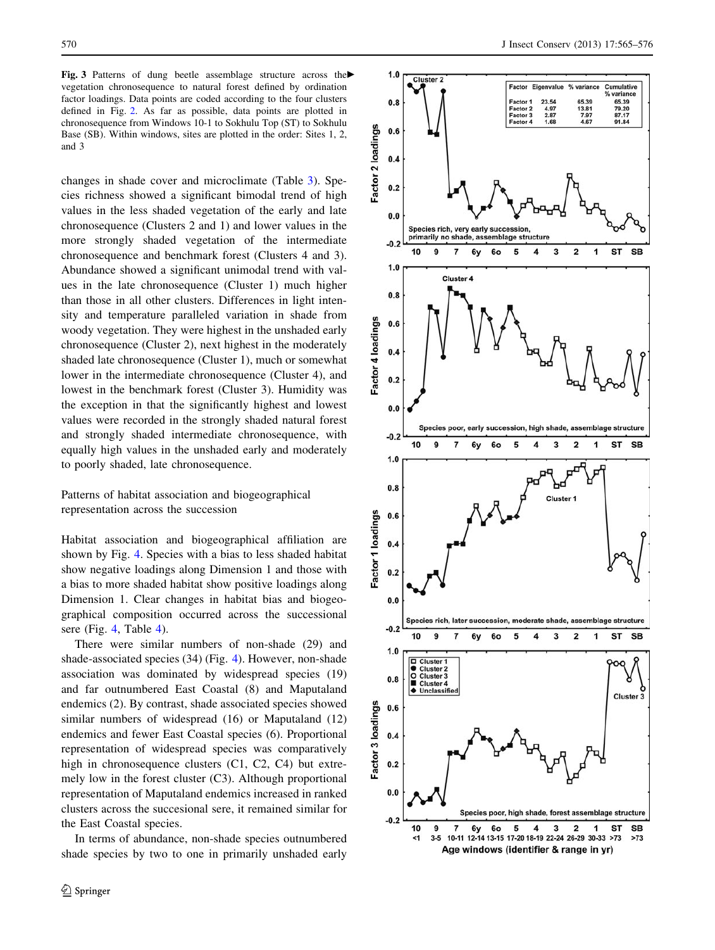<span id="page-5-0"></span>Fig. 3 Patterns of dung beetle assemblage structure across the vegetation chronosequence to natural forest defined by ordination factor loadings. Data points are coded according to the four clusters defined in Fig. [2.](#page-4-0) As far as possible, data points are plotted in chronosequence from Windows 10-1 to Sokhulu Top (ST) to Sokhulu Base (SB). Within windows, sites are plotted in the order: Sites 1, 2, and 3

changes in shade cover and microclimate (Table [3](#page-6-0)). Species richness showed a significant bimodal trend of high values in the less shaded vegetation of the early and late chronosequence (Clusters 2 and 1) and lower values in the more strongly shaded vegetation of the intermediate chronosequence and benchmark forest (Clusters 4 and 3). Abundance showed a significant unimodal trend with values in the late chronosequence (Cluster 1) much higher than those in all other clusters. Differences in light intensity and temperature paralleled variation in shade from woody vegetation. They were highest in the unshaded early chronosequence (Cluster 2), next highest in the moderately shaded late chronosequence (Cluster 1), much or somewhat lower in the intermediate chronosequence (Cluster 4), and lowest in the benchmark forest (Cluster 3). Humidity was the exception in that the significantly highest and lowest values were recorded in the strongly shaded natural forest and strongly shaded intermediate chronosequence, with equally high values in the unshaded early and moderately to poorly shaded, late chronosequence.

Patterns of habitat association and biogeographical representation across the succession

Habitat association and biogeographical affiliation are shown by Fig. [4.](#page-6-0) Species with a bias to less shaded habitat show negative loadings along Dimension 1 and those with a bias to more shaded habitat show positive loadings along Dimension 1. Clear changes in habitat bias and biogeographical composition occurred across the successional sere (Fig. [4,](#page-7-0) Table [4\)](#page-7-0).

There were similar numbers of non-shade (29) and shade-associated species (34) (Fig. [4](#page-6-0)). However, non-shade association was dominated by widespread species (19) and far outnumbered East Coastal (8) and Maputaland endemics (2). By contrast, shade associated species showed similar numbers of widespread (16) or Maputaland (12) endemics and fewer East Coastal species (6). Proportional representation of widespread species was comparatively high in chronosequence clusters (C1, C2, C4) but extremely low in the forest cluster (C3). Although proportional representation of Maputaland endemics increased in ranked clusters across the succesional sere, it remained similar for the East Coastal species.

In terms of abundance, non-shade species outnumbered shade species by two to one in primarily unshaded early

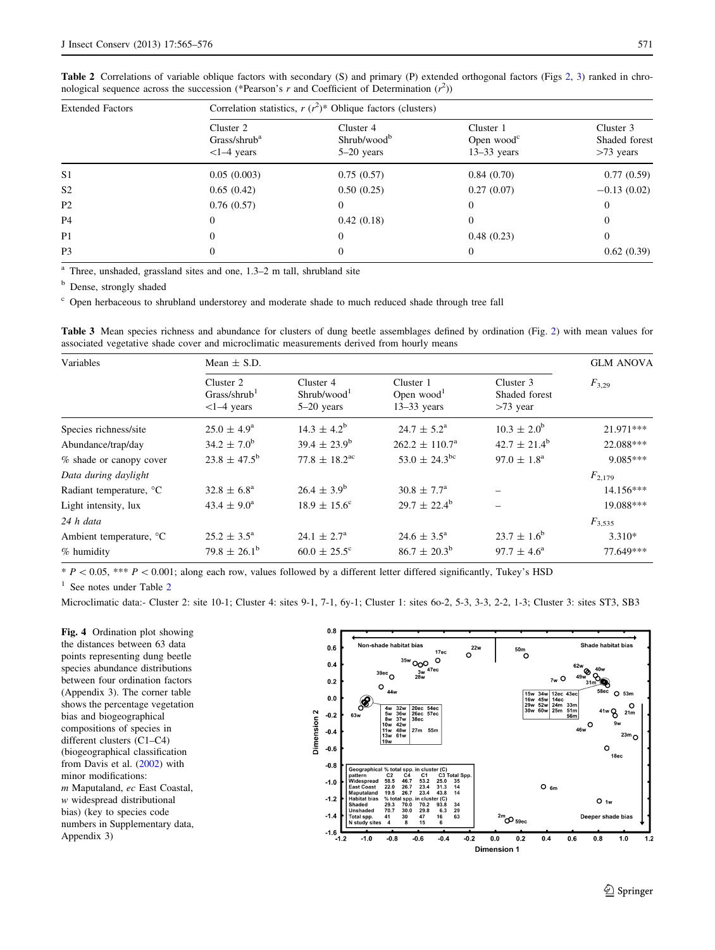| <b>Extended Factors</b> | Correlation statistics, $r (r^2)^*$ Oblique factors (clusters) |                                                      |                                                   |                                           |  |  |  |
|-------------------------|----------------------------------------------------------------|------------------------------------------------------|---------------------------------------------------|-------------------------------------------|--|--|--|
|                         | Cluster 2<br>Grass/shrub <sup>a</sup><br>$<1-4$ years          | Cluster 4<br>Shrub/wood <sup>b</sup><br>$5-20$ years | Cluster 1<br>Open wood $\rm{^c}$<br>$13-33$ years | Cluster 3<br>Shaded forest<br>$>73$ years |  |  |  |
| S <sub>1</sub>          | 0.05(0.003)                                                    | 0.75(0.57)                                           | 0.84(0.70)                                        | 0.77(0.59)                                |  |  |  |
| S <sub>2</sub>          | 0.65(0.42)                                                     | 0.50(0.25)                                           | 0.27(0.07)                                        | $-0.13(0.02)$                             |  |  |  |
| P <sub>2</sub>          | 0.76(0.57)                                                     |                                                      | $\Omega$                                          |                                           |  |  |  |
| P <sub>4</sub>          | 0                                                              | 0.42(0.18)                                           | $\overline{0}$                                    |                                           |  |  |  |
| P1                      | 0                                                              | 0                                                    | 0.48(0.23)                                        |                                           |  |  |  |
| P <sub>3</sub>          |                                                                |                                                      | $\Omega$                                          | 0.62(0.39)                                |  |  |  |

<span id="page-6-0"></span>Table [2](#page-4-0) Correlations of variable oblique factors with secondary (S) and primary (P) extended orthogonal factors (Figs 2, [3\)](#page-5-0) ranked in chronological sequence across the succession (\*Pearson's r and Coefficient of Determination  $(r^2)$ )

 $\overline{a}$  Three, unshaded, grassland sites and one, 1.3–2 m tall, shrubland site

**b** Dense, strongly shaded

<sup>c</sup> Open herbaceous to shrubland understorey and moderate shade to much reduced shade through tree fall

Table 3 Mean species richness and abundance for clusters of dung beetle assemblages defined by ordination (Fig. [2](#page-4-0)) with mean values for associated vegetative shade cover and microclimatic measurements derived from hourly means

| Variables                           | Mean $\pm$ S.D.                                       |                                                     |                                            |                                          |             |
|-------------------------------------|-------------------------------------------------------|-----------------------------------------------------|--------------------------------------------|------------------------------------------|-------------|
|                                     | Cluster 2<br>Grass/shrub <sup>1</sup><br>$<1-4$ years | Cluster 4<br>Shrubwood <sup>1</sup><br>$5-20$ years | Cluster 1<br>Open $wood1$<br>$13-33$ years | Cluster 3<br>Shaded forest<br>$>73$ year | $F_{3,29}$  |
| Species richness/site               | $25.0 \pm 4.9^{\rm a}$                                | $14.3 \pm 4.2^b$                                    | $24.7 \pm 5.2^{\rm a}$                     | $10.3 \pm 2.0^{\rm b}$                   | 21.971***   |
| Abundance/trap/day                  | $34.2 \pm 7.0^{\rm b}$                                | $39.4 \pm 23.9^b$                                   | $262.2 \pm 110.7^{\circ}$                  | $42.7 \pm 21.4^{\rm b}$                  | 22.088***   |
| % shade or canopy cover             | $23.8 \pm 47.5^{\rm b}$                               | $77.8 \pm 18.2^{\text{ac}}$                         | $53.0 \pm 24.3^{\rm bc}$                   | $97.0 \pm 1.8^{\text{a}}$                | 9.085***    |
| Data during daylight                |                                                       |                                                     |                                            |                                          | $F_{2,179}$ |
| Radiant temperature, °C             | $32.8 \pm 6.8^{\circ}$                                | $26.4 \pm 3.9^b$                                    | $30.8 \pm 7.7^{\circ}$                     |                                          | $14.156***$ |
| Light intensity, lux                | $43.4 \pm 9.0^{\circ}$                                | $18.9 \pm 15.6^{\circ}$                             | $29.7 \pm 22.4^{\rm b}$                    |                                          | 19.088***   |
| 24 h data                           |                                                       |                                                     |                                            |                                          | $F_{3,535}$ |
| Ambient temperature, <sup>o</sup> C | $25.2 \pm 3.5^{\circ}$                                | $24.1 \pm 2.7^{\circ}$                              | $24.6 \pm 3.5^{\circ}$                     | $23.7 \pm 1.6^b$                         | $3.310*$    |
| % humidity                          | $79.8 \pm 26.1^b$                                     | $60.0 \pm 25.5^{\circ}$                             | $86.7 \pm 20.3^{\rm b}$                    | $97.7 \pm 4.6^{\circ}$                   | 77.649***   |

 $* P < 0.05$ ,  $*** P < 0.001$ ; along each row, values followed by a different letter differed significantly, Tukey's HSD

 $1$  See notes under Table 2

Microclimatic data:- Cluster 2: site 10-1; Cluster 4: sites 9-1, 7-1, 6y-1; Cluster 1: sites 6o-2, 5-3, 3-3, 2-2, 1-3; Cluster 3: sites ST3, SB3

Fig. 4 Ordination plot showing the distances between 63 data points representing dung beetle species abundance distributions between four ordination factors (Appendix 3). The corner table shows the percentage vegetation bias and biogeographical compositions of species in different clusters (C1–C4) (biogeographical classification from Davis et al. ([2002\)](#page-10-0) with minor modifications: m Maputaland, ec East Coastal, w widespread distributional bias) (key to species code numbers in Supplementary data, Appendix 3)

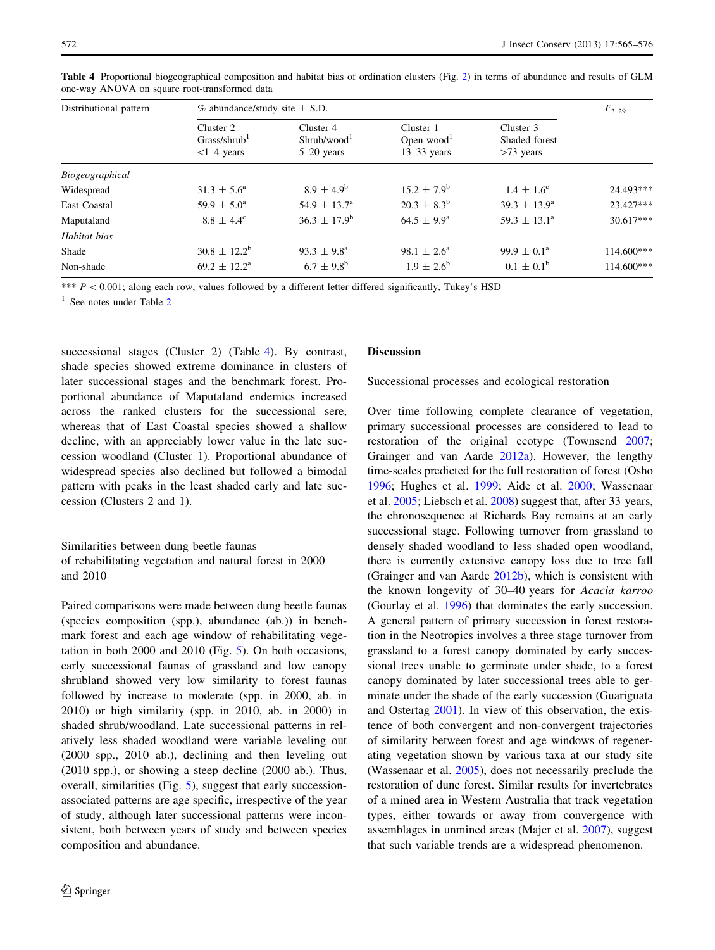| Distributional pattern | $\%$ abundance/study site $\pm$ S.D.                  |                                                     |                                                      |                                           |              |
|------------------------|-------------------------------------------------------|-----------------------------------------------------|------------------------------------------------------|-------------------------------------------|--------------|
|                        | Cluster 2<br>Grass/shrub <sup>1</sup><br>$<1-4$ years | Cluster 4<br>Shrubwood <sup>1</sup><br>$5-20$ years | Cluster 1<br>Open wood <sup>1</sup><br>$13-33$ years | Cluster 3<br>Shaded forest<br>$>73$ years |              |
| Biogeographical        |                                                       |                                                     |                                                      |                                           |              |
| Widespread             | $31.3 \pm 5.6^{\circ}$                                | $8.9 \pm 4.9^{\rm b}$                               | $15.2 \pm 7.9^{\rm b}$                               | $1.4 \pm 1.6^{\circ}$                     | 24.493***    |
| East Coastal           | $59.9 \pm 5.0^{\circ}$                                | $54.9 \pm 13.7^{\circ}$                             | $20.3 \pm 8.3^b$                                     | $39.3 \pm 13.9^{\circ}$                   | 23.427***    |
| Maputaland             | $8.8 \pm 4.4^{\circ}$                                 | $36.3 \pm 17.9^b$                                   | $64.5 \pm 9.9^{\rm a}$                               | $59.3 \pm 13.1^{\circ}$                   | 30.617***    |
| Habitat bias           |                                                       |                                                     |                                                      |                                           |              |
| Shade                  | $30.8 \pm 12.2^b$                                     | $93.3 \pm 9.8^{\circ}$                              | $98.1 \pm 2.6^{\circ}$                               | $99.9 \pm 0.1^{\circ}$                    | $114.600***$ |
| Non-shade              | $69.2 \pm 12.2^{\text{a}}$                            | $6.7 \pm 9.8^{\rm b}$                               | $1.9 \pm 2.6^{\rm b}$                                | $0.1 \pm 0.1^b$                           | $114.600***$ |

<span id="page-7-0"></span>Table 4 Proportional biogeographical composition and habitat bias of ordination clusters (Fig. [2](#page-4-0)) in terms of abundance and results of GLM one-way ANOVA on square root-transformed data

\*\*\*  $P < 0.001$ ; along each row, values followed by a different letter differed significantly, Tukey's HSD

 $1$  See notes under Table [2](#page-6-0)

successional stages (Cluster 2) (Table 4). By contrast, shade species showed extreme dominance in clusters of later successional stages and the benchmark forest. Proportional abundance of Maputaland endemics increased across the ranked clusters for the successional sere, whereas that of East Coastal species showed a shallow decline, with an appreciably lower value in the late succession woodland (Cluster 1). Proportional abundance of widespread species also declined but followed a bimodal pattern with peaks in the least shaded early and late succession (Clusters 2 and 1).

Similarities between dung beetle faunas of rehabilitating vegetation and natural forest in 2000 and 2010

Paired comparisons were made between dung beetle faunas (species composition (spp.), abundance (ab.)) in benchmark forest and each age window of rehabilitating vegetation in both 2000 and 2010 (Fig. [5\)](#page-8-0). On both occasions, early successional faunas of grassland and low canopy shrubland showed very low similarity to forest faunas followed by increase to moderate (spp. in 2000, ab. in 2010) or high similarity (spp. in 2010, ab. in 2000) in shaded shrub/woodland. Late successional patterns in relatively less shaded woodland were variable leveling out (2000 spp., 2010 ab.), declining and then leveling out (2010 spp.), or showing a steep decline (2000 ab.). Thus, overall, similarities (Fig. [5\)](#page-8-0), suggest that early successionassociated patterns are age specific, irrespective of the year of study, although later successional patterns were inconsistent, both between years of study and between species composition and abundance.

#### Discussion

Successional processes and ecological restoration

Over time following complete clearance of vegetation, primary successional processes are considered to lead to restoration of the original ecotype (Townsend [2007](#page-11-0); Grainger and van Aarde [2012a\)](#page-10-0). However, the lengthy time-scales predicted for the full restoration of forest (Osho [1996](#page-10-0); Hughes et al. [1999](#page-10-0); Aide et al. [2000](#page-10-0); Wassenaar et al. [2005;](#page-11-0) Liebsch et al. [2008\)](#page-10-0) suggest that, after 33 years, the chronosequence at Richards Bay remains at an early successional stage. Following turnover from grassland to densely shaded woodland to less shaded open woodland, there is currently extensive canopy loss due to tree fall (Grainger and van Aarde [2012b](#page-10-0)), which is consistent with the known longevity of 30–40 years for Acacia karroo (Gourlay et al. [1996\)](#page-10-0) that dominates the early succession. A general pattern of primary succession in forest restoration in the Neotropics involves a three stage turnover from grassland to a forest canopy dominated by early successional trees unable to germinate under shade, to a forest canopy dominated by later successional trees able to germinate under the shade of the early succession (Guariguata and Ostertag [2001\)](#page-10-0). In view of this observation, the existence of both convergent and non-convergent trajectories of similarity between forest and age windows of regenerating vegetation shown by various taxa at our study site (Wassenaar et al. [2005\)](#page-11-0), does not necessarily preclude the restoration of dune forest. Similar results for invertebrates of a mined area in Western Australia that track vegetation types, either towards or away from convergence with assemblages in unmined areas (Majer et al. [2007](#page-10-0)), suggest that such variable trends are a widespread phenomenon.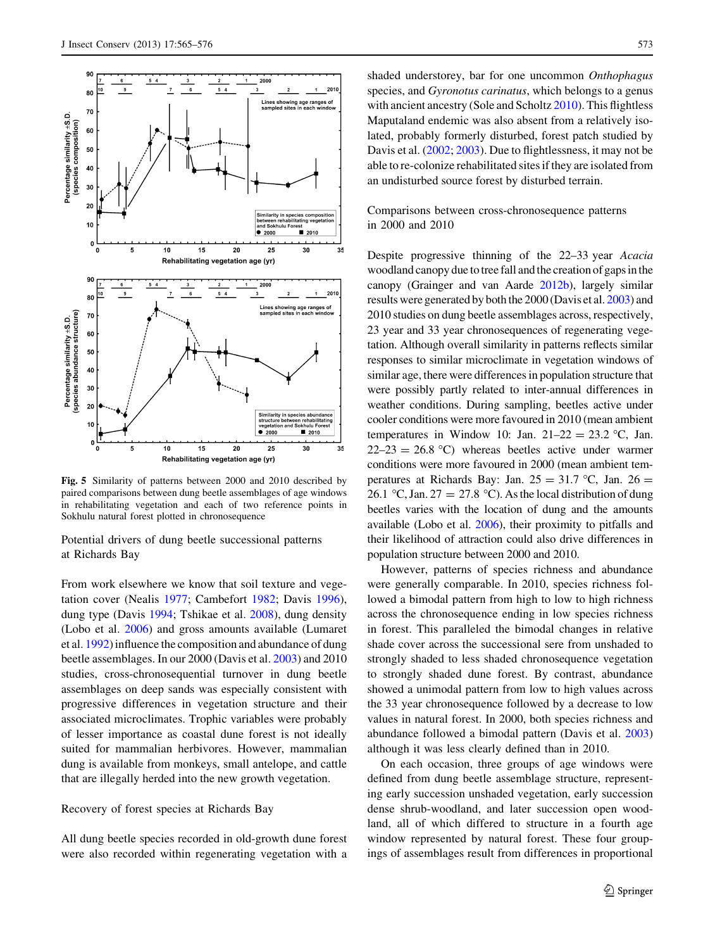<span id="page-8-0"></span>

Fig. 5 Similarity of patterns between 2000 and 2010 described by paired comparisons between dung beetle assemblages of age windows in rehabilitating vegetation and each of two reference points in Sokhulu natural forest plotted in chronosequence

Potential drivers of dung beetle successional patterns at Richards Bay

From work elsewhere we know that soil texture and vegetation cover (Nealis [1977](#page-10-0); Cambefort [1982;](#page-10-0) Davis [1996](#page-10-0)), dung type (Davis [1994](#page-10-0); Tshikae et al. [2008](#page-11-0)), dung density (Lobo et al. [2006\)](#page-10-0) and gross amounts available (Lumaret et al. [1992](#page-10-0)) influence the composition and abundance of dung beetle assemblages. In our 2000 (Davis et al. [2003\)](#page-10-0) and 2010 studies, cross-chronosequential turnover in dung beetle assemblages on deep sands was especially consistent with progressive differences in vegetation structure and their associated microclimates. Trophic variables were probably of lesser importance as coastal dune forest is not ideally suited for mammalian herbivores. However, mammalian dung is available from monkeys, small antelope, and cattle that are illegally herded into the new growth vegetation.

## Recovery of forest species at Richards Bay

All dung beetle species recorded in old-growth dune forest were also recorded within regenerating vegetation with a shaded understorey, bar for one uncommon Onthophagus species, and Gyronotus carinatus, which belongs to a genus with ancient ancestry (Sole and Scholtz [2010](#page-10-0)). This flightless Maputaland endemic was also absent from a relatively isolated, probably formerly disturbed, forest patch studied by Davis et al. [\(2002](#page-10-0); [2003](#page-10-0)). Due to flightlessness, it may not be able to re-colonize rehabilitated sites if they are isolated from an undisturbed source forest by disturbed terrain.

# Comparisons between cross-chronosequence patterns in 2000 and 2010

Despite progressive thinning of the 22–33 year Acacia woodland canopy due to tree fall and the creation of gaps in the canopy (Grainger and van Aarde [2012b](#page-10-0)), largely similar results were generated by both the 2000 (Davis et al. [2003](#page-10-0)) and 2010 studies on dung beetle assemblages across, respectively, 23 year and 33 year chronosequences of regenerating vegetation. Although overall similarity in patterns reflects similar responses to similar microclimate in vegetation windows of similar age, there were differences in population structure that were possibly partly related to inter-annual differences in weather conditions. During sampling, beetles active under cooler conditions were more favoured in 2010 (mean ambient temperatures in Window 10: Jan.  $21-22 = 23.2$  °C, Jan.  $22-23 = 26.8$  °C) whereas beetles active under warmer conditions were more favoured in 2000 (mean ambient temperatures at Richards Bay: Jan.  $25 = 31.7$  °C, Jan.  $26 =$ 26.1 °C, Jan. 27 = 27.8 °C). As the local distribution of dung beetles varies with the location of dung and the amounts available (Lobo et al. [2006\)](#page-10-0), their proximity to pitfalls and their likelihood of attraction could also drive differences in population structure between 2000 and 2010.

However, patterns of species richness and abundance were generally comparable. In 2010, species richness followed a bimodal pattern from high to low to high richness across the chronosequence ending in low species richness in forest. This paralleled the bimodal changes in relative shade cover across the successional sere from unshaded to strongly shaded to less shaded chronosequence vegetation to strongly shaded dune forest. By contrast, abundance showed a unimodal pattern from low to high values across the 33 year chronosequence followed by a decrease to low values in natural forest. In 2000, both species richness and abundance followed a bimodal pattern (Davis et al. [2003\)](#page-10-0) although it was less clearly defined than in 2010.

On each occasion, three groups of age windows were defined from dung beetle assemblage structure, representing early succession unshaded vegetation, early succession dense shrub-woodland, and later succession open woodland, all of which differed to structure in a fourth age window represented by natural forest. These four groupings of assemblages result from differences in proportional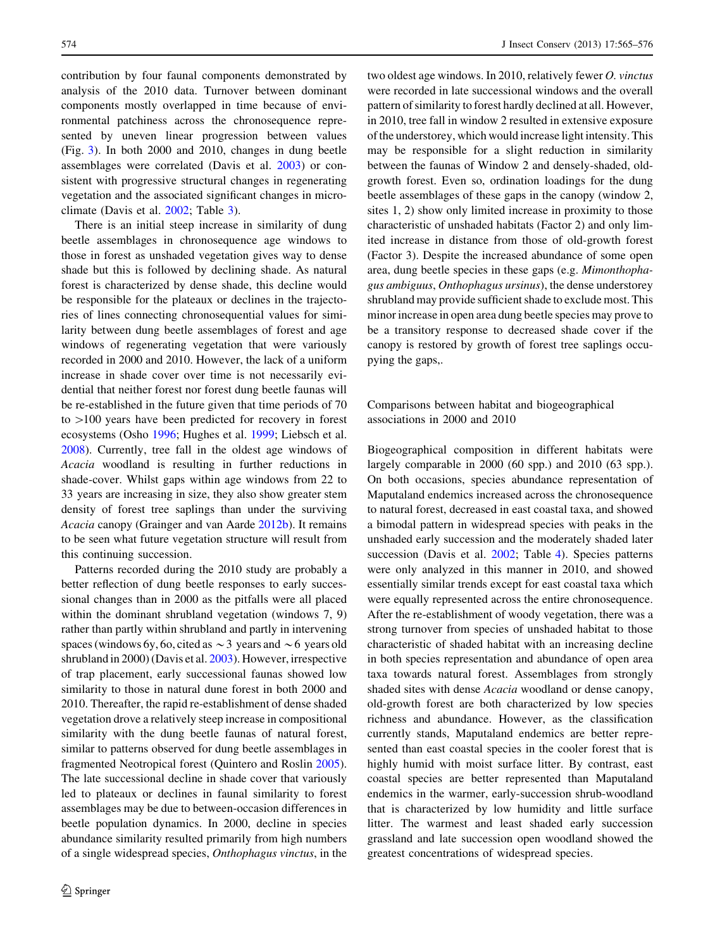contribution by four faunal components demonstrated by analysis of the 2010 data. Turnover between dominant components mostly overlapped in time because of environmental patchiness across the chronosequence represented by uneven linear progression between values (Fig. [3](#page-5-0)). In both 2000 and 2010, changes in dung beetle assemblages were correlated (Davis et al. [2003\)](#page-10-0) or consistent with progressive structural changes in regenerating vegetation and the associated significant changes in microclimate (Davis et al. [2002;](#page-10-0) Table [3\)](#page-6-0).

There is an initial steep increase in similarity of dung beetle assemblages in chronosequence age windows to those in forest as unshaded vegetation gives way to dense shade but this is followed by declining shade. As natural forest is characterized by dense shade, this decline would be responsible for the plateaux or declines in the trajectories of lines connecting chronosequential values for similarity between dung beetle assemblages of forest and age windows of regenerating vegetation that were variously recorded in 2000 and 2010. However, the lack of a uniform increase in shade cover over time is not necessarily evidential that neither forest nor forest dung beetle faunas will be re-established in the future given that time periods of 70 to  $>100$  years have been predicted for recovery in forest ecosystems (Osho [1996;](#page-10-0) Hughes et al. [1999;](#page-10-0) Liebsch et al. [2008\)](#page-10-0). Currently, tree fall in the oldest age windows of Acacia woodland is resulting in further reductions in shade-cover. Whilst gaps within age windows from 22 to 33 years are increasing in size, they also show greater stem density of forest tree saplings than under the surviving Acacia canopy (Grainger and van Aarde [2012b](#page-10-0)). It remains to be seen what future vegetation structure will result from this continuing succession.

Patterns recorded during the 2010 study are probably a better reflection of dung beetle responses to early successional changes than in 2000 as the pitfalls were all placed within the dominant shrubland vegetation (windows 7, 9) rather than partly within shrubland and partly in intervening spaces (windows 6y, 6o, cited as  $\sim$  3 years and  $\sim$  6 years old shrubland in 2000) (Davis et al. [2003](#page-10-0)). However, irrespective of trap placement, early successional faunas showed low similarity to those in natural dune forest in both 2000 and 2010. Thereafter, the rapid re-establishment of dense shaded vegetation drove a relatively steep increase in compositional similarity with the dung beetle faunas of natural forest, similar to patterns observed for dung beetle assemblages in fragmented Neotropical forest (Quintero and Roslin [2005](#page-10-0)). The late successional decline in shade cover that variously led to plateaux or declines in faunal similarity to forest assemblages may be due to between-occasion differences in beetle population dynamics. In 2000, decline in species abundance similarity resulted primarily from high numbers of a single widespread species, Onthophagus vinctus, in the two oldest age windows. In 2010, relatively fewer O. vinctus were recorded in late successional windows and the overall pattern of similarity to forest hardly declined at all. However, in 2010, tree fall in window 2 resulted in extensive exposure of the understorey, which would increase light intensity. This may be responsible for a slight reduction in similarity between the faunas of Window 2 and densely-shaded, oldgrowth forest. Even so, ordination loadings for the dung beetle assemblages of these gaps in the canopy (window 2, sites 1, 2) show only limited increase in proximity to those characteristic of unshaded habitats (Factor 2) and only limited increase in distance from those of old-growth forest (Factor 3). Despite the increased abundance of some open area, dung beetle species in these gaps (e.g. Mimonthophagus ambiguus, Onthophagus ursinus), the dense understorey shrubland may provide sufficient shade to exclude most. This minor increase in open area dung beetle species may prove to be a transitory response to decreased shade cover if the canopy is restored by growth of forest tree saplings occupying the gaps,.

Comparisons between habitat and biogeographical associations in 2000 and 2010

Biogeographical composition in different habitats were largely comparable in 2000 (60 spp.) and 2010 (63 spp.). On both occasions, species abundance representation of Maputaland endemics increased across the chronosequence to natural forest, decreased in east coastal taxa, and showed a bimodal pattern in widespread species with peaks in the unshaded early succession and the moderately shaded later succession (Davis et al. [2002](#page-10-0); Table [4\)](#page-7-0). Species patterns were only analyzed in this manner in 2010, and showed essentially similar trends except for east coastal taxa which were equally represented across the entire chronosequence. After the re-establishment of woody vegetation, there was a strong turnover from species of unshaded habitat to those characteristic of shaded habitat with an increasing decline in both species representation and abundance of open area taxa towards natural forest. Assemblages from strongly shaded sites with dense Acacia woodland or dense canopy, old-growth forest are both characterized by low species richness and abundance. However, as the classification currently stands, Maputaland endemics are better represented than east coastal species in the cooler forest that is highly humid with moist surface litter. By contrast, east coastal species are better represented than Maputaland endemics in the warmer, early-succession shrub-woodland that is characterized by low humidity and little surface litter. The warmest and least shaded early succession grassland and late succession open woodland showed the greatest concentrations of widespread species.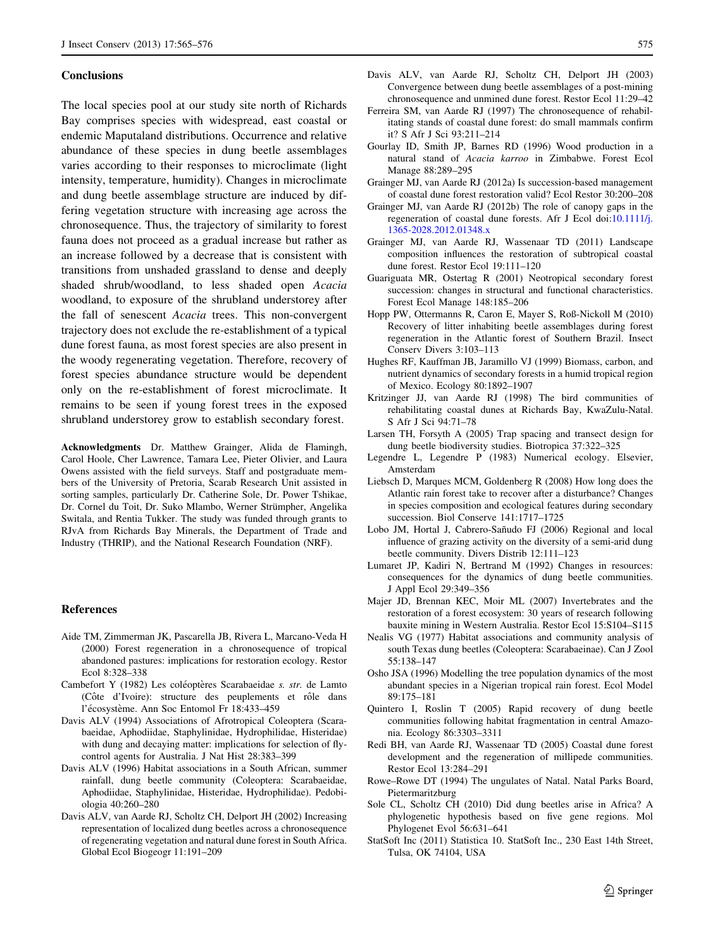#### <span id="page-10-0"></span>**Conclusions**

The local species pool at our study site north of Richards Bay comprises species with widespread, east coastal or endemic Maputaland distributions. Occurrence and relative abundance of these species in dung beetle assemblages varies according to their responses to microclimate (light intensity, temperature, humidity). Changes in microclimate and dung beetle assemblage structure are induced by differing vegetation structure with increasing age across the chronosequence. Thus, the trajectory of similarity to forest fauna does not proceed as a gradual increase but rather as an increase followed by a decrease that is consistent with transitions from unshaded grassland to dense and deeply shaded shrub/woodland, to less shaded open Acacia woodland, to exposure of the shrubland understorey after the fall of senescent Acacia trees. This non-convergent trajectory does not exclude the re-establishment of a typical dune forest fauna, as most forest species are also present in the woody regenerating vegetation. Therefore, recovery of forest species abundance structure would be dependent only on the re-establishment of forest microclimate. It remains to be seen if young forest trees in the exposed shrubland understorey grow to establish secondary forest.

Acknowledgments Dr. Matthew Grainger, Alida de Flamingh, Carol Hoole, Cher Lawrence, Tamara Lee, Pieter Olivier, and Laura Owens assisted with the field surveys. Staff and postgraduate members of the University of Pretoria, Scarab Research Unit assisted in sorting samples, particularly Dr. Catherine Sole, Dr. Power Tshikae, Dr. Cornel du Toit, Dr. Suko Mlambo, Werner Strümpher, Angelika Switala, and Rentia Tukker. The study was funded through grants to RJvA from Richards Bay Minerals, the Department of Trade and Industry (THRIP), and the National Research Foundation (NRF).

#### References

- Aide TM, Zimmerman JK, Pascarella JB, Rivera L, Marcano-Veda H (2000) Forest regeneration in a chronosequence of tropical abandoned pastures: implications for restoration ecology. Restor Ecol 8:328–338
- Cambefort Y (1982) Les coléoptères Scarabaeidae s. str. de Lamto (Côte d'Ivoire): structure des peuplements et rôle dans l'écosystème. Ann Soc Entomol Fr 18:433-459
- Davis ALV (1994) Associations of Afrotropical Coleoptera (Scarabaeidae, Aphodiidae, Staphylinidae, Hydrophilidae, Histeridae) with dung and decaying matter: implications for selection of flycontrol agents for Australia. J Nat Hist 28:383–399
- Davis ALV (1996) Habitat associations in a South African, summer rainfall, dung beetle community (Coleoptera: Scarabaeidae, Aphodiidae, Staphylinidae, Histeridae, Hydrophilidae). Pedobiologia 40:260–280
- Davis ALV, van Aarde RJ, Scholtz CH, Delport JH (2002) Increasing representation of localized dung beetles across a chronosequence of regenerating vegetation and natural dune forest in South Africa. Global Ecol Biogeogr 11:191–209
- Davis ALV, van Aarde RJ, Scholtz CH, Delport JH (2003) Convergence between dung beetle assemblages of a post-mining chronosequence and unmined dune forest. Restor Ecol 11:29–42
- Ferreira SM, van Aarde RJ (1997) The chronosequence of rehabilitating stands of coastal dune forest: do small mammals confirm it? S Afr J Sci 93:211–214
- Gourlay ID, Smith JP, Barnes RD (1996) Wood production in a natural stand of Acacia karroo in Zimbabwe. Forest Ecol Manage 88:289–295
- Grainger MJ, van Aarde RJ (2012a) Is succession-based management of coastal dune forest restoration valid? Ecol Restor 30:200–208
- Grainger MJ, van Aarde RJ (2012b) The role of canopy gaps in the regeneration of coastal dune forests. Afr J Ecol doi:[10.1111/j.](http://dx.doi.org/10.1111/j.1365-2028.2012.01348.x) [1365-2028.2012.01348.x](http://dx.doi.org/10.1111/j.1365-2028.2012.01348.x)
- Grainger MJ, van Aarde RJ, Wassenaar TD (2011) Landscape composition influences the restoration of subtropical coastal dune forest. Restor Ecol 19:111–120
- Guariguata MR, Ostertag R (2001) Neotropical secondary forest succession: changes in structural and functional characteristics. Forest Ecol Manage 148:185–206
- Hopp PW, Ottermanns R, Caron E, Mayer S, Roß-Nickoll M (2010) Recovery of litter inhabiting beetle assemblages during forest regeneration in the Atlantic forest of Southern Brazil. Insect Conserv Divers 3:103–113
- Hughes RF, Kauffman JB, Jaramillo VJ (1999) Biomass, carbon, and nutrient dynamics of secondary forests in a humid tropical region of Mexico. Ecology 80:1892–1907
- Kritzinger JJ, van Aarde RJ (1998) The bird communities of rehabilitating coastal dunes at Richards Bay, KwaZulu-Natal. S Afr J Sci 94:71–78
- Larsen TH, Forsyth A (2005) Trap spacing and transect design for dung beetle biodiversity studies. Biotropica 37:322–325
- Legendre L, Legendre P (1983) Numerical ecology. Elsevier, Amsterdam
- Liebsch D, Marques MCM, Goldenberg R (2008) How long does the Atlantic rain forest take to recover after a disturbance? Changes in species composition and ecological features during secondary succession. Biol Conserve 141:1717–1725
- Lobo JM, Hortal J, Cabrero-Sañudo FJ (2006) Regional and local influence of grazing activity on the diversity of a semi-arid dung beetle community. Divers Distrib 12:111–123
- Lumaret JP, Kadiri N, Bertrand M (1992) Changes in resources: consequences for the dynamics of dung beetle communities. J Appl Ecol 29:349–356
- Majer JD, Brennan KEC, Moir ML (2007) Invertebrates and the restoration of a forest ecosystem: 30 years of research following bauxite mining in Western Australia. Restor Ecol 15:S104–S115
- Nealis VG (1977) Habitat associations and community analysis of south Texas dung beetles (Coleoptera: Scarabaeinae). Can J Zool 55:138–147
- Osho JSA (1996) Modelling the tree population dynamics of the most abundant species in a Nigerian tropical rain forest. Ecol Model 89:175–181
- Quintero I, Roslin T (2005) Rapid recovery of dung beetle communities following habitat fragmentation in central Amazonia. Ecology 86:3303–3311
- Redi BH, van Aarde RJ, Wassenaar TD (2005) Coastal dune forest development and the regeneration of millipede communities. Restor Ecol 13:284–291
- Rowe–Rowe DT (1994) The ungulates of Natal. Natal Parks Board, Pietermaritzburg
- Sole CL, Scholtz CH (2010) Did dung beetles arise in Africa? A phylogenetic hypothesis based on five gene regions. Mol Phylogenet Evol 56:631–641
- StatSoft Inc (2011) Statistica 10. StatSoft Inc., 230 East 14th Street, Tulsa, OK 74104, USA